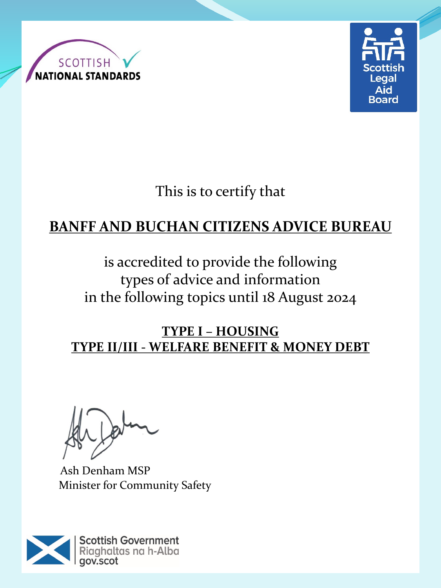



This is to certify that

# **BANFF AND BUCHAN CITIZENS ADVICE BUREAU**

# is accredited to provide the following types of advice and information in the following topics until 18 August 2024

#### **TYPE I – HOUSING TYPE II/III - WELFARE BENEFIT & MONEY DEBT**

Ash Denham MSP Minister for Community Safety

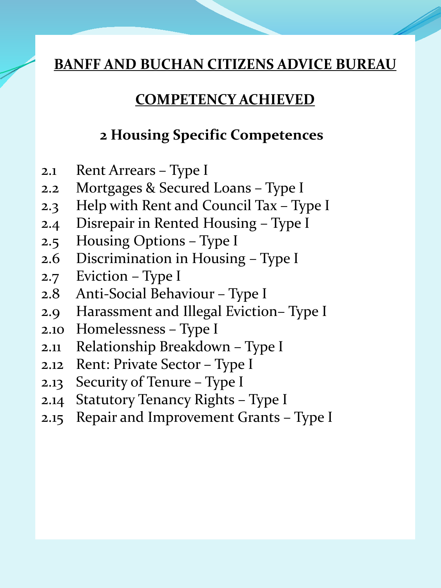#### **COMPETENCY ACHIEVED**

#### **2 Housing Specific Competences**

- 2.1 Rent Arrears Type I
- 2.2 Mortgages & Secured Loans Type I
- 2.3 Help with Rent and Council Tax Type I
- 2.4 Disrepair in Rented Housing Type I
- 2.5 Housing Options Type I
- 2.6 Discrimination in Housing Type I
- 2.7 Eviction Type I
- 2.8 Anti-Social Behaviour Type I
- 2.9 Harassment and Illegal Eviction– Type I
- 2.10 Homelessness Type I
- 2.11 Relationship Breakdown Type I
- 2.12 Rent: Private Sector Type I
- 2.13 Security of Tenure Type I
- 2.14 Statutory Tenancy Rights Type I
- 2.15 Repair and Improvement Grants Type I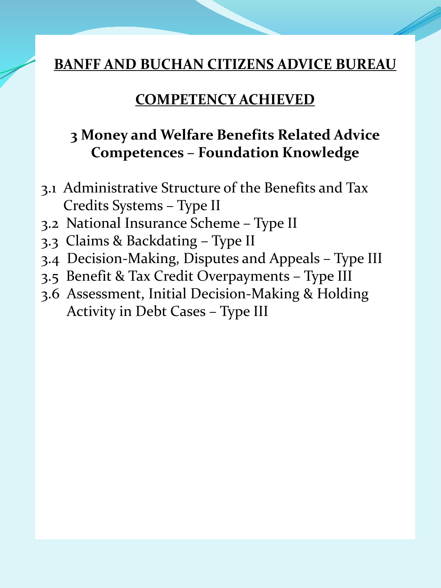#### **COMPETENCY ACHIEVED**

## **3 Money and Welfare Benefits Related Advice Competences – Foundation Knowledge**

- 3.1 Administrative Structure of the Benefits and Tax Credits Systems – Type II
- 3.2 National Insurance Scheme Type II
- 3.3 Claims & Backdating Type II
- 3.4 Decision-Making, Disputes and Appeals Type III
- 3.5 Benefit & Tax Credit Overpayments Type III
- 3.6 Assessment, Initial Decision-Making & Holding Activity in Debt Cases – Type III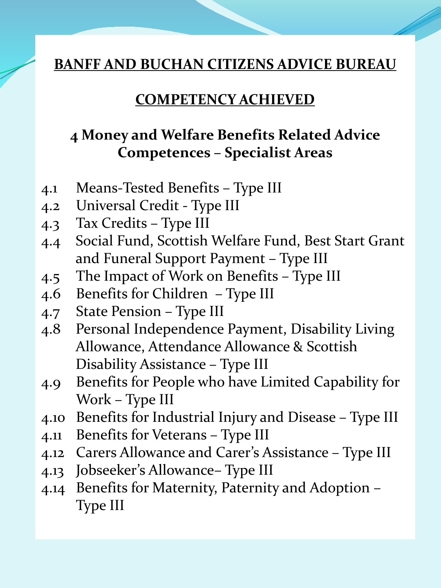#### **COMPETENCY ACHIEVED**

### **4 Money and Welfare Benefits Related Advice Competences – Specialist Areas**

- 4.1 Means-Tested Benefits Type III
- 4.2 Universal Credit Type III
- 4.3 Tax Credits Type III
- 4.4 Social Fund, Scottish Welfare Fund, Best Start Grant and Funeral Support Payment – Type III
- 4.5 The Impact of Work on Benefits Type III
- 4.6 Benefits for Children Type III
- 4.7 State Pension Type III
- 4.8 Personal Independence Payment, Disability Living Allowance, Attendance Allowance & Scottish Disability Assistance – Type III
- 4.9 Benefits for People who have Limited Capability for Work – Type III
- 4.10 Benefits for Industrial Injury and Disease Type III
- 4.11 Benefits for Veterans Type III
- 4.12 Carers Allowance and Carer's Assistance Type III
- 4.13 Jobseeker's Allowance– Type III
- 4.14 Benefits for Maternity, Paternity and Adoption Type III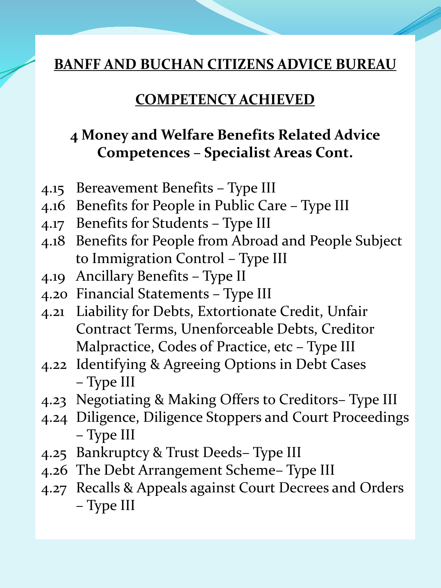#### **COMPETENCY ACHIEVED**

## **4 Money and Welfare Benefits Related Advice Competences – Specialist Areas Cont.**

- 4.15 Bereavement Benefits Type III
- 4.16 Benefits for People in Public Care Type III
- 4.17 Benefits for Students Type III
- 4.18 Benefits for People from Abroad and People Subject to Immigration Control – Type III
- 4.19 Ancillary Benefits Type II
- 4.20 Financial Statements Type III
- 4.21 Liability for Debts, Extortionate Credit, Unfair Contract Terms, Unenforceable Debts, Creditor Malpractice, Codes of Practice, etc – Type III
- 4.22 Identifying & Agreeing Options in Debt Cases – Type III
- 4.23 Negotiating & Making Offers to Creditors– Type III
- 4.24 Diligence, Diligence Stoppers and Court Proceedings – Type III
- 4.25 Bankruptcy & Trust Deeds– Type III
- 4.26 The Debt Arrangement Scheme– Type III
- 4.27 Recalls & Appeals against Court Decrees and Orders – Type III